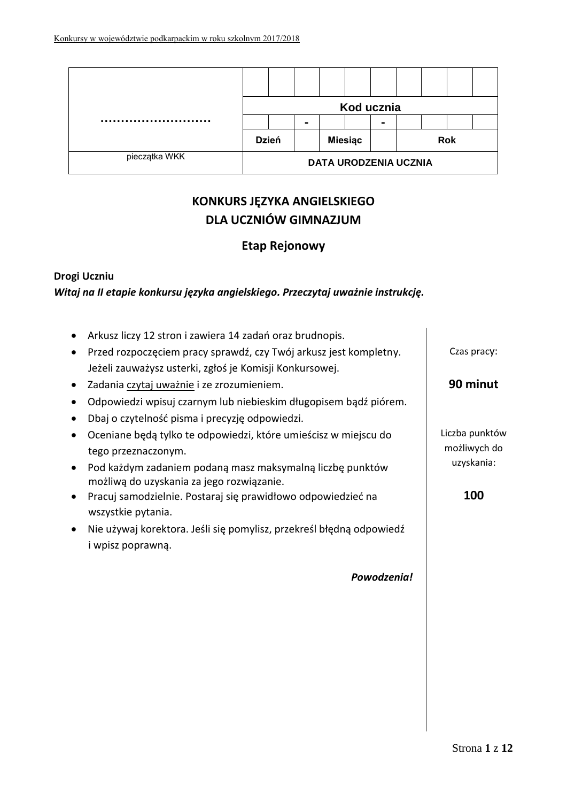|               |                              |              |  |                | Kod ucznia |  |            |  |
|---------------|------------------------------|--------------|--|----------------|------------|--|------------|--|
|               |                              |              |  |                |            |  |            |  |
|               |                              | <b>Dzień</b> |  | <b>Miesiąc</b> |            |  | <b>Rok</b> |  |
| pieczątka WKK | <b>DATA URODZENIA UCZNIA</b> |              |  |                |            |  |            |  |

# **KONKURS JĘZYKA ANGIELSKIEGO DLA UCZNIÓW GIMNAZJUM**

## **Etap Rejonowy**

## **Drogi Uczniu**

*Witaj na II etapie konkursu języka angielskiego. Przeczytaj uważnie instrukcję.*

|           | Arkusz liczy 12 stron i zawiera 14 zadań oraz brudnopis.             |                |
|-----------|----------------------------------------------------------------------|----------------|
|           | Przed rozpoczęciem pracy sprawdź, czy Twój arkusz jest kompletny.    | Czas pracy:    |
|           | Jeżeli zauważysz usterki, zgłoś je Komisji Konkursowej.              |                |
| $\bullet$ | Zadania czytaj uważnie i ze zrozumieniem.                            | 90 minut       |
|           | Odpowiedzi wpisuj czarnym lub niebieskim długopisem bądź piórem.     |                |
|           | Dbaj o czytelność pisma i precyzję odpowiedzi.                       |                |
|           | Oceniane będą tylko te odpowiedzi, które umieścisz w miejscu do      | Liczba punktów |
|           | tego przeznaczonym.                                                  | możliwych do   |
|           | Pod każdym zadaniem podaną masz maksymalną liczbę punktów            | uzyskania:     |
|           | możliwą do uzyskania za jego rozwiązanie.                            |                |
|           | Pracuj samodzielnie. Postaraj się prawidłowo odpowiedzieć na         | 100            |
|           | wszystkie pytania.                                                   |                |
|           | Nie używaj korektora. Jeśli się pomylisz, przekreśl błędną odpowiedź |                |
|           | i wpisz poprawną.                                                    |                |
|           |                                                                      |                |
|           | Powodzenia!                                                          |                |
|           |                                                                      |                |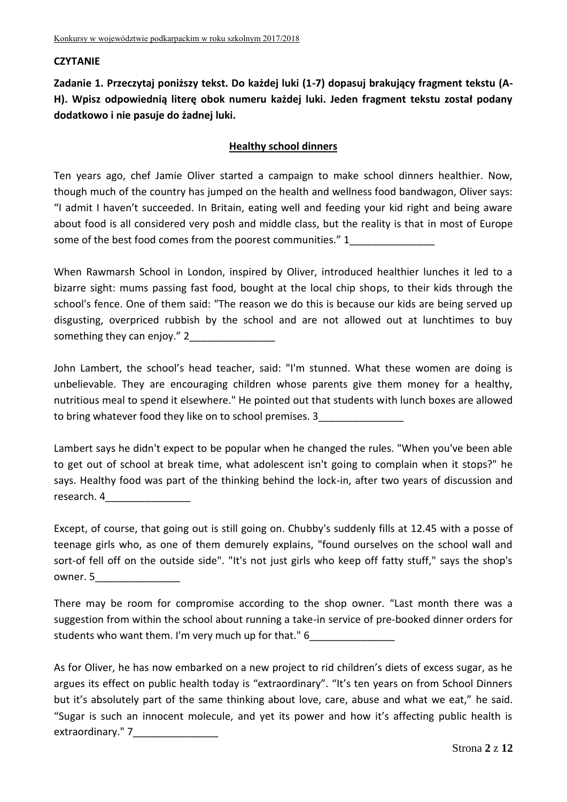#### **CZYTANIE**

**Zadanie 1. Przeczytaj poniższy tekst. Do każdej luki (1-7) dopasuj brakujący fragment tekstu (A-H). Wpisz odpowiednią literę obok numeru każdej luki. Jeden fragment tekstu został podany dodatkowo i nie pasuje do żadnej luki.**

#### **Healthy school dinners**

Ten years ago, chef Jamie Oliver started a campaign to make school dinners healthier. Now, though much of the country has jumped on the health and wellness food bandwagon, Oliver says: "I admit I haven't succeeded. In Britain, eating well and feeding your kid right and being aware about food is all considered very posh and middle class, but the reality is that in most of Europe some of the best food comes from the poorest communities." 1

When Rawmarsh School in London, inspired by Oliver, introduced healthier lunches it led to a bizarre sight: mums passing fast food, bought at the local chip shops, to their kids through the school's fence. One of them said: "The reason we do this is because our kids are being served up disgusting, overpriced rubbish by the school and are not allowed out at lunchtimes to buy something they can enjoy." 2

John Lambert, the school's head teacher, said: "I'm stunned. What these women are doing is unbelievable. They are encouraging children whose parents give them money for a healthy, nutritious meal to spend it elsewhere." He pointed out that students with lunch boxes are allowed to bring whatever food they like on to school premises. 3

Lambert says he didn't expect to be popular when he changed the rules. "When you've been able to get out of school at break time, what adolescent isn't going to complain when it stops?" he says. Healthy food was part of the thinking behind the lock-in, after two years of discussion and research. 4

Except, of course, that going out is still going on. Chubby's suddenly fills at 12.45 with a posse of teenage girls who, as one of them demurely explains, "found ourselves on the school wall and sort-of fell off on the outside side". "It's not just girls who keep off fatty stuff," says the shop's owner. 5

There may be room for compromise according to the shop owner. "Last month there was a suggestion from within the school about running a take-in service of pre-booked dinner orders for students who want them. I'm very much up for that." 6

As for Oliver, he has now embarked on a new project to rid children's diets of excess sugar, as he argues its effect on public health today is "extraordinary". "It's ten years on from School Dinners but it's absolutely part of the same thinking about love, care, abuse and what we eat," he said. "Sugar is such an innocent molecule, and yet its power and how it's affecting public health is extraordinary." 7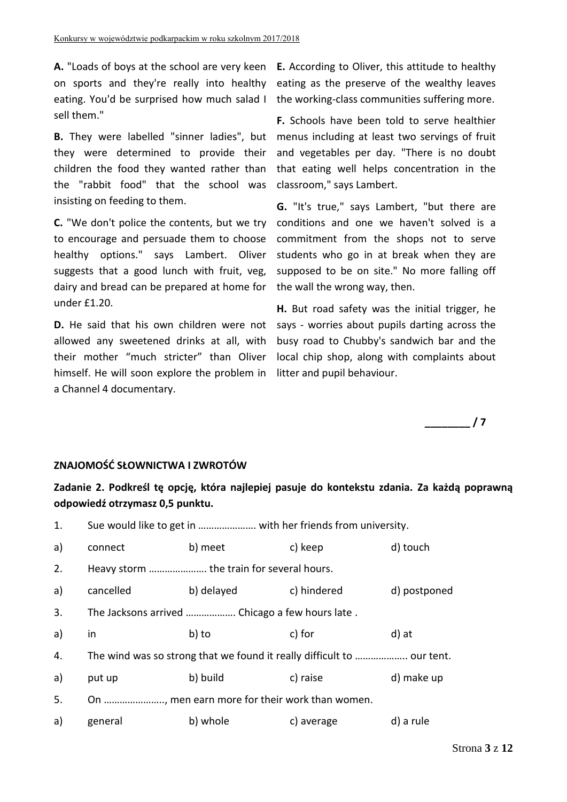eating. You'd be surprised how much salad I the working-class communities suffering more. sell them."

**B.** They were labelled "sinner ladies", but they were determined to provide their children the food they wanted rather than the "rabbit food" that the school was insisting on feeding to them.

**C.** "We don't police the contents, but we try to encourage and persuade them to choose healthy options." says Lambert. Oliver suggests that a good lunch with fruit, veg, dairy and bread can be prepared at home for under £1.20.

allowed any sweetened drinks at all, with their mother "much stricter" than Oliver himself. He will soon explore the problem in litter and pupil behaviour. a Channel 4 documentary.

**A.** "Loads of boys at the school are very keen **E.** According to Oliver, this attitude to healthy on sports and they're really into healthy eating as the preserve of the wealthy leaves

> **F.** Schools have been told to serve healthier menus including at least two servings of fruit and vegetables per day. "There is no doubt that eating well helps concentration in the classroom," says Lambert.

> **G.** "It's true," says Lambert, "but there are conditions and one we haven't solved is a commitment from the shops not to serve students who go in at break when they are supposed to be on site." No more falling off the wall the wrong way, then.

**D.** He said that his own children were not says - worries about pupils darting across the **H.** But road safety was the initial trigger, he busy road to Chubby's sandwich bar and the local chip shop, along with complaints about



## **ZNAJOMOŚĆ SŁOWNICTWA I ZWROTÓW**

**Zadanie 2. Podkreśl tę opcję, która najlepiej pasuje do kontekstu zdania. Za każdą poprawną odpowiedź otrzymasz 0,5 punktu.**

| 1. |           | Sue would like to get in  with her friends from university.            |             |              |
|----|-----------|------------------------------------------------------------------------|-------------|--------------|
| a) | connect   | b) meet                                                                | c) keep     | d) touch     |
| 2. |           | Heavy storm  the train for several hours.                              |             |              |
| a) | cancelled | b) delayed                                                             | c) hindered | d) postponed |
| 3. |           | The Jacksons arrived  Chicago a few hours late.                        |             |              |
| a) | in        | b) to                                                                  | c) for      | d) at        |
| 4. |           | The wind was so strong that we found it really difficult to  our tent. |             |              |
| a) | put up    | b) build                                                               | c) raise    | d) make up   |
| 5. |           | On , men earn more for their work than women.                          |             |              |
| a) | general   | b) whole                                                               | c) average  | d) a rule    |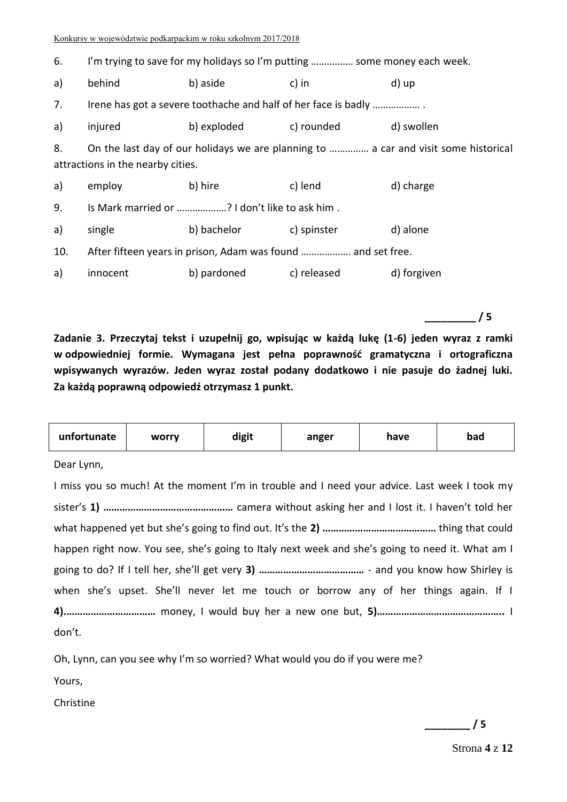| 6.  | I'm trying to save for my holidays so I'm putting  some money each week.                                                 |                                                              |             |             |  |
|-----|--------------------------------------------------------------------------------------------------------------------------|--------------------------------------------------------------|-------------|-------------|--|
| a)  | behind                                                                                                                   | b) aside                                                     | c) in       | d) up       |  |
| 7.  | Irene has got a severe toothache and half of her face is badly                                                           |                                                              |             |             |  |
| a)  | injured                                                                                                                  | b) exploded                                                  | c) rounded  | d) swollen  |  |
| 8.  | On the last day of our holidays we are planning to  a car and visit some historical<br>attractions in the nearby cities. |                                                              |             |             |  |
| a)  | employ                                                                                                                   | b) hire                                                      | c) lend     | d) charge   |  |
| 9.  |                                                                                                                          | Is Mark married or ? I don't like to ask him.                |             |             |  |
| a)  | single                                                                                                                   | b) bachelor                                                  | c) spinster | d) alone    |  |
| 10. |                                                                                                                          | After fifteen years in prison, Adam was found  and set free. |             |             |  |
| a)  | innocent                                                                                                                 | b) pardoned                                                  | c) released | d) forgiven |  |

**Zadanie 3. Przeczytaj tekst i uzupełnij go, wpisując w każdą lukę (1-6) jeden wyraz z ramki w odpowiedniej formie. Wymagana jest pełna poprawność gramatyczna i ortograficzna wpisywanych wyrazów. Jeden wyraz został podany dodatkowo i nie pasuje do żadnej luki. Za każdą poprawną odpowiedź otrzymasz 1 punkt.**

| unfortunate | worry | digit | anger | have | bad |
|-------------|-------|-------|-------|------|-----|
|             |       |       |       |      |     |

Dear Lynn,

I miss you so much! At the moment I'm in trouble and I need your advice. Last week I took my sister's **1) …………………………………………** camera without asking her and I lost it. I haven't told her what happened yet but she's going to find out. It's the **2) ……………………………………** thing that could happen right now. You see, she's going to Italy next week and she's going to need it. What am I going to do? If I tell her, she'll get very **3) …………………………………** - and you know how Shirley is when she's upset. She'll never let me touch or borrow any of her things again. If I **4).……………………………** money, I would buy her a new one but, **5)………………………………………..** I don't.

Oh, Lynn, can you see why I'm so worried? What would you do if you were me?

Yours,

Christine

**\_\_\_\_\_\_\_\_\_ / 5**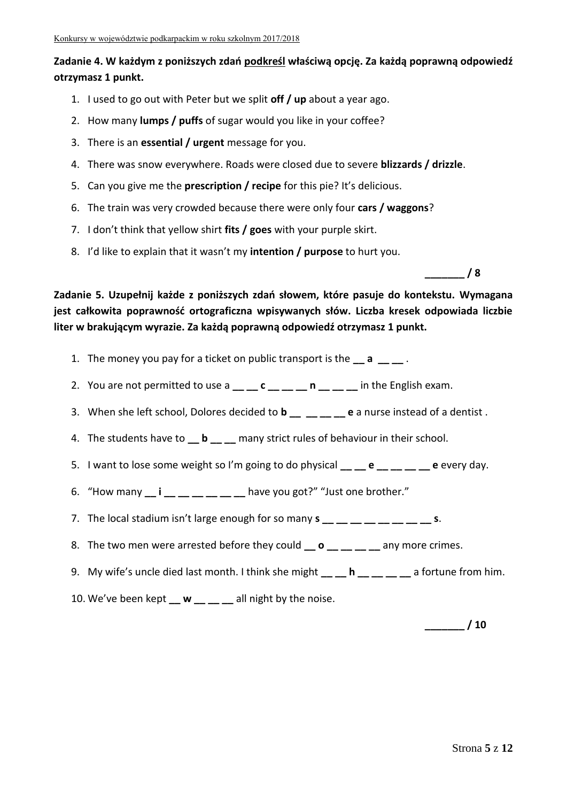## **Zadanie 4. W każdym z poniższych zdań podkreśl właściwą opcję. Za każdą poprawną odpowiedź otrzymasz 1 punkt.**

- 1. I used to go out with Peter but we split **off / up** about a year ago.
- 2. How many **lumps / puffs** of sugar would you like in your coffee?
- 3. There is an **essential / urgent** message for you.
- 4. There was snow everywhere. Roads were closed due to severe **blizzards / drizzle**.
- 5. Can you give me the **prescription / recipe** for this pie? It's delicious.
- 6. The train was very crowded because there were only four **cars / waggons**?
- 7. I don't think that yellow shirt **fits / goes** with your purple skirt.
- 8. I'd like to explain that it wasn't my **intention / purpose** to hurt you.

**\_\_\_\_\_\_\_ / 8**

**Zadanie 5. Uzupełnij każde z poniższych zdań słowem, które pasuje do kontekstu. Wymagana jest całkowita poprawność ortograficzna wpisywanych słów. Liczba kresek odpowiada liczbie liter w brakującym wyrazie. Za każdą poprawną odpowiedź otrzymasz 1 punkt.**

- 1. The money you pay for a ticket on public transport is the **\_\_ a \_\_ \_\_** .
- 2. You are not permitted to use a **\_\_ \_\_ c \_\_ \_\_ \_\_ n \_\_ \_\_ \_\_** in the English exam.
- 3. When she left school, Dolores decided to **b** e a nurse instead of a dentist .
- 4. The students have to **\_\_ b \_\_ \_\_** many strict rules of behaviour in their school.
- 5. I want to lose some weight so I'm going to do physical **e e e** every day.
- 6. "How many **\_\_ i \_\_ \_\_ \_\_ \_\_ \_\_ \_\_** have you got?" "Just one brother."
- 7. The local stadium isn't large enough for so many  $s_1 = 1 1 1 1 = 1$ .
- 8. The two men were arrested before they could **\_\_ o \_\_ \_\_ \_\_ \_\_** any more crimes.
- 9. My wife's uncle died last month. I think she might \_\_ \_ h \_\_ \_ \_ \_ \_ \_ a fortune from him.
- 10. We've been kept **w** all night by the noise.

**\_\_\_\_\_\_\_ / 10**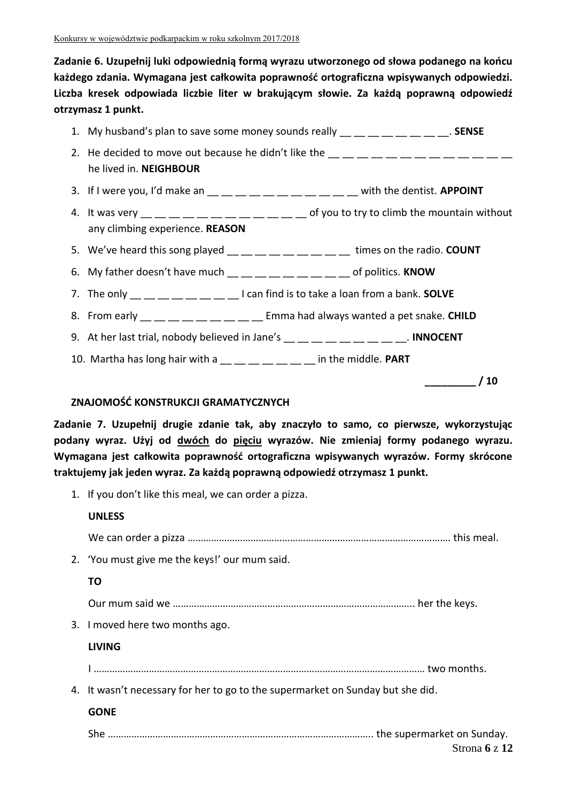**Zadanie 6. Uzupełnij luki odpowiednią formą wyrazu utworzonego od słowa podanego na końcu każdego zdania. Wymagana jest całkowita poprawność ortograficzna wpisywanych odpowiedzi. Liczba kresek odpowiada liczbie liter w brakującym słowie. Za każdą poprawną odpowiedź otrzymasz 1 punkt.**

|                                 | 1. My husband's plan to save some money sounds really $\mu_{\text{max}} = \mu_{\text{max}} = \mu_{\text{max}}$ . SENSE                                                                                                                                                                                                                                                                                                                                                                                                                                   |    |
|---------------------------------|----------------------------------------------------------------------------------------------------------------------------------------------------------------------------------------------------------------------------------------------------------------------------------------------------------------------------------------------------------------------------------------------------------------------------------------------------------------------------------------------------------------------------------------------------------|----|
| he lived in. NEIGHBOUR          |                                                                                                                                                                                                                                                                                                                                                                                                                                                                                                                                                          |    |
|                                 | 3. If I were you, I'd make an $\underline{\hspace{1cm}}\underline{\hspace{1cm}}\underline{\hspace{1cm}}\underline{\hspace{1cm}}\underline{\hspace{1cm}}\underline{\hspace{1cm}}\underline{\hspace{1cm}}\underline{\hspace{1cm}}\underline{\hspace{1cm}}\underline{\hspace{1cm}}\underline{\hspace{1cm}}\underline{\hspace{1cm}}\underline{\hspace{1cm}}\underline{\hspace{1cm}}\underline{\hspace{1cm}}\underline{\hspace{1cm}}\underline{\hspace{1cm}}\underline{\hspace{1cm}}\underline{\hspace{1cm}}\underline{\hspace{1cm}}\underline{\hspace{1cm}}$ |    |
| any climbing experience. REASON | 4. It was very $\frac{1}{1}$ = $\frac{1}{1}$ = $\frac{1}{1}$ = $\frac{1}{1}$ = $\frac{1}{1}$ = $\frac{1}{1}$ = $\frac{1}{1}$ of you to try to climb the mountain without                                                                                                                                                                                                                                                                                                                                                                                 |    |
|                                 |                                                                                                                                                                                                                                                                                                                                                                                                                                                                                                                                                          |    |
|                                 | 6. My father doesn't have much $\_\_\_\_\_\_\_\_\_\_\_\_\_\_\_\_\_\_\_ \_\_ \_ \_$ of politics. KNOW                                                                                                                                                                                                                                                                                                                                                                                                                                                     |    |
|                                 | 7. The only $\frac{1}{1}$ $\frac{1}{1}$ $\frac{1}{1}$ $\frac{1}{1}$ $\frac{1}{1}$ $\frac{1}{1}$ $\frac{1}{1}$ can find is to take a loan from a bank. SOLVE                                                                                                                                                                                                                                                                                                                                                                                              |    |
|                                 | 8. From early __ __ __ __ __ __ __ __ Emma had always wanted a pet snake. CHILD                                                                                                                                                                                                                                                                                                                                                                                                                                                                          |    |
|                                 | 9. At her last trial, nobody believed in Jane's $\underline{\hspace{1cm}}$ __ __ __ __ __ __ __ __ . INNOCENT                                                                                                                                                                                                                                                                                                                                                                                                                                            |    |
|                                 | 10. Martha has long hair with a $\_\_$ $\_\_$ $\_\_$ $\_\_$ $\_\_$ in the middle. PART                                                                                                                                                                                                                                                                                                                                                                                                                                                                   |    |
|                                 |                                                                                                                                                                                                                                                                                                                                                                                                                                                                                                                                                          | 10 |

#### **ZNAJOMOŚĆ KONSTRUKCJI GRAMATYCZNYCH**

**Zadanie 7. Uzupełnij drugie zdanie tak, aby znaczyło to samo, co pierwsze, wykorzystując podany wyraz. Użyj od dwóch do pięciu wyrazów. Nie zmieniaj formy podanego wyrazu. Wymagana jest całkowita poprawność ortograficzna wpisywanych wyrazów. Formy skrócone traktujemy jak jeden wyraz. Za każdą poprawną odpowiedź otrzymasz 1 punkt.**

1. If you don't like this meal, we can order a pizza.

#### **UNLESS**

We can order a pizza ………………………………………………………………………………………. this meal.

2. 'You must give me the keys!' our mum said.

## **TO**

Our mum said we ……………………………………………………………………………….. her the keys.

3. I moved here two months ago.

## **LIVING**

I ……………………………………………………………………………………………………………… two months.

4. It wasn't necessary for her to go to the supermarket on Sunday but she did.

## **GONE**

She ……………………………………………………………………………………….. the supermarket on Sunday.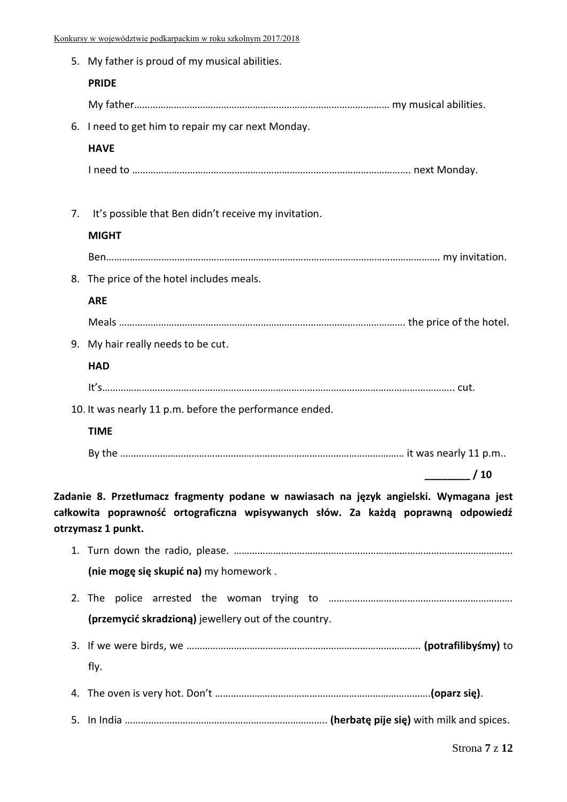|    | 5. My father is proud of my musical abilities.                                                                                                                                                  |         |
|----|-------------------------------------------------------------------------------------------------------------------------------------------------------------------------------------------------|---------|
|    | <b>PRIDE</b>                                                                                                                                                                                    |         |
|    |                                                                                                                                                                                                 |         |
|    | 6. I need to get him to repair my car next Monday.                                                                                                                                              |         |
|    | <b>HAVE</b>                                                                                                                                                                                     |         |
|    |                                                                                                                                                                                                 |         |
| 7. | It's possible that Ben didn't receive my invitation.                                                                                                                                            |         |
|    | <b>MIGHT</b>                                                                                                                                                                                    |         |
|    |                                                                                                                                                                                                 |         |
|    | 8. The price of the hotel includes meals.                                                                                                                                                       |         |
|    | <b>ARE</b>                                                                                                                                                                                      |         |
|    |                                                                                                                                                                                                 |         |
|    | 9. My hair really needs to be cut.                                                                                                                                                              |         |
|    | <b>HAD</b>                                                                                                                                                                                      |         |
|    |                                                                                                                                                                                                 |         |
|    | 10. It was nearly 11 p.m. before the performance ended.                                                                                                                                         |         |
|    | <b>TIME</b>                                                                                                                                                                                     |         |
|    |                                                                                                                                                                                                 |         |
|    |                                                                                                                                                                                                 | $\_/10$ |
|    | Zadanie 8. Przetłumacz fragmenty podane w nawiasach na język angielski. Wymagana jest<br>całkowita poprawność ortograficzna wpisywanych słów. Za każdą poprawną odpowiedź<br>otrzymasz 1 punkt. |         |
|    |                                                                                                                                                                                                 |         |
|    | (nie mogę się skupić na) my homework.                                                                                                                                                           |         |
|    |                                                                                                                                                                                                 |         |
|    | (przemycić skradzioną) jewellery out of the country.                                                                                                                                            |         |
|    |                                                                                                                                                                                                 |         |
|    | fly.                                                                                                                                                                                            |         |
|    |                                                                                                                                                                                                 |         |

5. In India ………………………………………………………………….. **(herbatę pije się)** with milk and spices.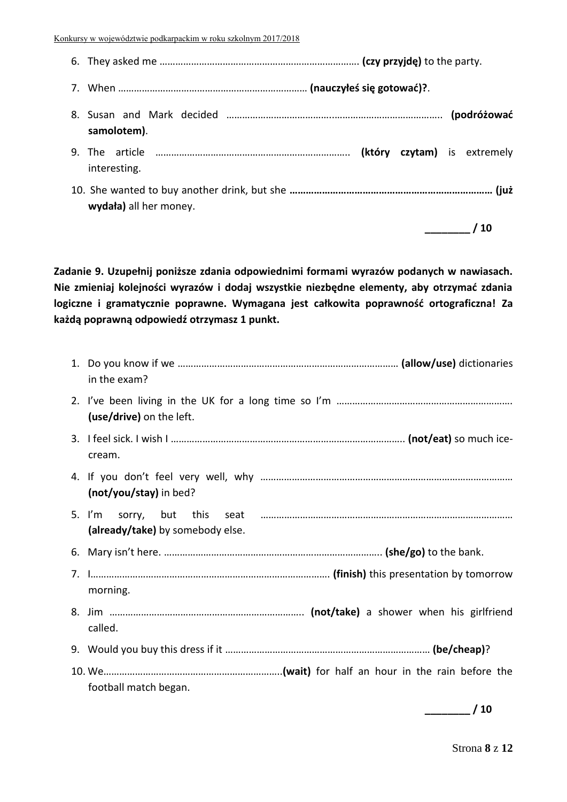6. They asked me …………………………………………………………………. **(czy przyjdę)** to the party. 7. When ……………………………………………………………… **(nauczyłeś się gotować)?**. 8. Susan and Mark decided …………………………………..………………………………….. **(podróżować samolotem)**. 9. The article ……………………………………………………………….. **(który czytam)** is extremely interesting. 10. She wanted to buy another drink, but she **………………………………………………………………… (już wydała)** all her money. **\_\_\_\_\_\_\_\_ / 10**

**Zadanie 9. Uzupełnij poniższe zdania odpowiednimi formami wyrazów podanych w nawiasach. Nie zmieniaj kolejności wyrazów i dodaj wszystkie niezbędne elementy, aby otrzymać zdania logiczne i gramatycznie poprawne. Wymagana jest całkowita poprawność ortograficzna! Za każdą poprawną odpowiedź otrzymasz 1 punkt.** 

| in the exam?                     |
|----------------------------------|
| (use/drive) on the left.         |
| cream.                           |
| (not/you/stay) in bed?           |
| (already/take) by somebody else. |
|                                  |
| morning.                         |
| called.                          |
|                                  |
| football match began.            |

**\_\_\_\_\_\_\_\_ / 10**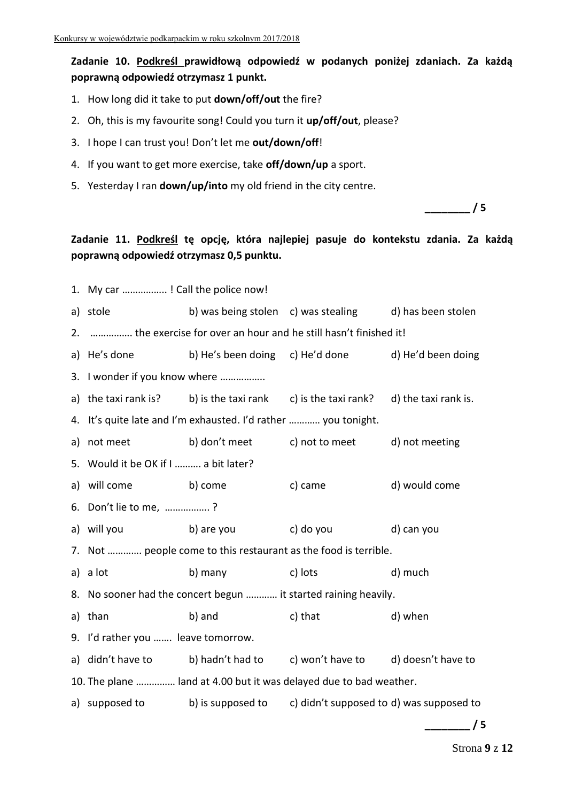## **Zadanie 10. Podkreśl prawidłową odpowiedź w podanych poniżej zdaniach. Za każdą poprawną odpowiedź otrzymasz 1 punkt.**

- 1. How long did it take to put **down/off/out** the fire?
- 2. Oh, this is my favourite song! Could you turn it **up/off/out**, please?
- 3. I hope I can trust you! Don't let me **out/down/off**!
- 4. If you want to get more exercise, take **off/down/up** a sport.
- 5. Yesterday I ran **down/up/into** my old friend in the city centre.

**\_\_\_\_\_\_\_\_ / 5**

**Zadanie 11. Podkreśl tę opcję, która najlepiej pasuje do kontekstu zdania. Za każdą poprawną odpowiedź otrzymasz 0,5 punktu.**

|    | 1. My car ! Call the police now!     |                                                                                    |                                                        |               |
|----|--------------------------------------|------------------------------------------------------------------------------------|--------------------------------------------------------|---------------|
|    | a) stole                             |                                                                                    | b) was being stolen c) was stealing d) has been stolen |               |
|    |                                      | 2.  the exercise for over an hour and he still hasn't finished it!                 |                                                        |               |
|    | a) He's done                         |                                                                                    | b) He's been doing c) He'd done d) He'd been doing     |               |
|    | 3. I wonder if you know where        |                                                                                    |                                                        |               |
|    |                                      | a) the taxi rank is? b) is the taxi rank c) is the taxi rank? d) the taxi rank is. |                                                        |               |
|    |                                      | 4. It's quite late and I'm exhausted. I'd rather  you tonight.                     |                                                        |               |
| a) |                                      | not meet b) don't meet c) not to meet d) not meeting                               |                                                        |               |
|    | 5. Would it be OK if I  a bit later? |                                                                                    |                                                        |               |
|    | a) will come b) come                 |                                                                                    | c) came                                                | d) would come |
|    | 6. Don't lie to me, ?                |                                                                                    |                                                        |               |
|    | a) will you<br>b) are you            |                                                                                    | c) do you d) can you                                   |               |
|    |                                      | 7. Not  people come to this restaurant as the food is terrible.                    |                                                        |               |
|    | a) a lot                             | b) many                                                                            | c) lots                                                | d) much       |
|    |                                      | 8. No sooner had the concert begun  it started raining heavily.                    |                                                        |               |
|    | a) than                              | b) and                                                                             | c) that                                                | d) when       |
|    | 9. I'd rather you  leave tomorrow.   |                                                                                    |                                                        |               |
|    | a) didn't have to                    | b) hadn't had to c) won't have to d) doesn't have to                               |                                                        |               |
|    |                                      | 10. The plane  land at 4.00 but it was delayed due to bad weather.                 |                                                        |               |
|    |                                      | a) supposed to b) is supposed to c) didn't supposed to d) was supposed to          |                                                        |               |
|    |                                      |                                                                                    |                                                        | /5            |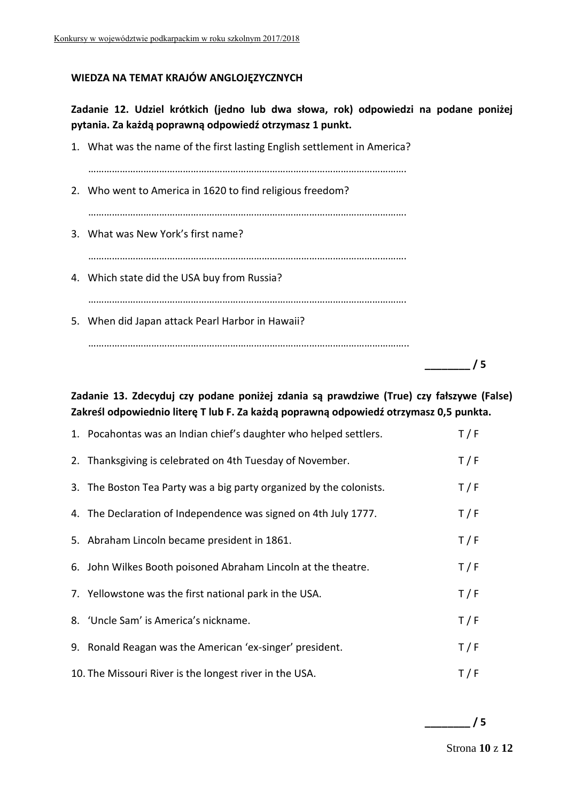## **WIEDZA NA TEMAT KRAJÓW ANGLOJĘZYCZNYCH**

**Zadanie 12. Udziel krótkich (jedno lub dwa słowa, rok) odpowiedzi na podane poniżej pytania. Za każdą poprawną odpowiedź otrzymasz 1 punkt.**

| 1. What was the name of the first lasting English settlement in America? |
|--------------------------------------------------------------------------|
| 2. Who went to America in 1620 to find religious freedom?                |
| 3. What was New York's first name?                                       |
| 4. Which state did the USA buy from Russia?                              |
| 5. When did Japan attack Pearl Harbor in Hawaii?                         |
|                                                                          |

**\_\_\_\_\_\_\_\_ / 5**

**Zadanie 13. Zdecyduj czy podane poniżej zdania są prawdziwe (True) czy fałszywe (False) Zakreśl odpowiednio literę T lub F. Za każdą poprawną odpowiedź otrzymasz 0,5 punkta.**

| 1. Pocahontas was an Indian chief's daughter who helped settlers.   | T/F |
|---------------------------------------------------------------------|-----|
| 2. Thanksgiving is celebrated on 4th Tuesday of November.           | T/F |
| 3. The Boston Tea Party was a big party organized by the colonists. | T/F |
| 4. The Declaration of Independence was signed on 4th July 1777.     | T/F |
| 5. Abraham Lincoln became president in 1861.                        | T/F |
| 6. John Wilkes Booth poisoned Abraham Lincoln at the theatre.       | T/F |
| 7. Yellowstone was the first national park in the USA.              | T/F |
| 8. 'Uncle Sam' is America's nickname.                               | T/F |
| 9. Ronald Reagan was the American 'ex-singer' president.            | T/F |
| 10. The Missouri River is the longest river in the USA.             | T/F |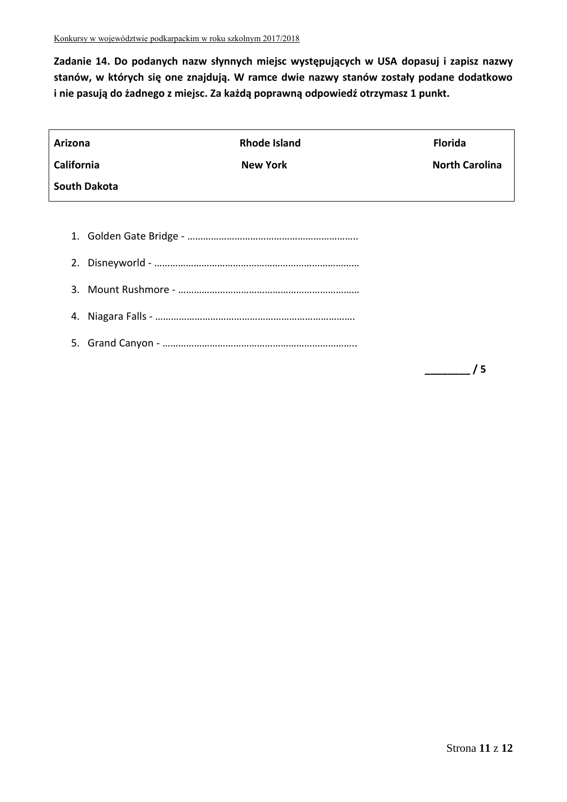**Zadanie 14. Do podanych nazw słynnych miejsc występujących w USA dopasuj i zapisz nazwy stanów, w których się one znajdują. W ramce dwie nazwy stanów zostały podane dodatkowo i nie pasują do żadnego z miejsc. Za każdą poprawną odpowiedź otrzymasz 1 punkt.**

| <b>Arizona</b>      | <b>Rhode Island</b> | <b>Florida</b>        |
|---------------------|---------------------|-----------------------|
| <b>California</b>   | <b>New York</b>     | <b>North Carolina</b> |
| <b>South Dakota</b> |                     |                       |
|                     |                     |                       |
|                     |                     |                       |
|                     |                     |                       |
|                     |                     |                       |
| 4.                  |                     |                       |
|                     |                     |                       |
|                     |                     | 5                     |